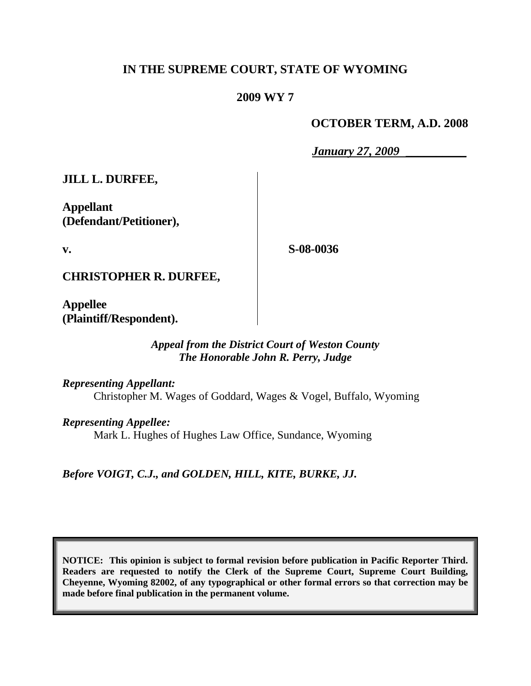# **IN THE SUPREME COURT, STATE OF WYOMING**

### **2009 WY 7**

### **OCTOBER TERM, A.D. 2008**

*January 27, 2009* \_\_\_\_\_\_\_\_\_\_

**JILL L. DURFEE,**

**Appellant (Defendant/Petitioner),**

**v.**

**S-08-0036**

**CHRISTOPHER R. DURFEE,**

**Appellee (Plaintiff/Respondent).**

### *Appeal from the District Court of Weston County The Honorable John R. Perry, Judge*

*Representing Appellant:* Christopher M. Wages of Goddard, Wages & Vogel, Buffalo, Wyoming

*Representing Appellee:* Mark L. Hughes of Hughes Law Office, Sundance, Wyoming

*Before VOIGT, C.J., and GOLDEN, HILL, KITE, BURKE, JJ.*

**NOTICE: This opinion is subject to formal revision before publication in Pacific Reporter Third. Readers are requested to notify the Clerk of the Supreme Court, Supreme Court Building, Cheyenne, Wyoming 82002, of any typographical or other formal errors so that correction may be made before final publication in the permanent volume.**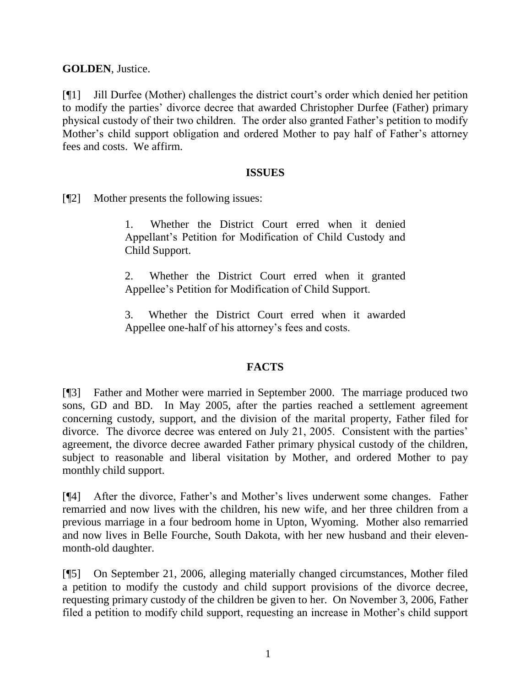**GOLDEN**, Justice.

[¶1] Jill Durfee (Mother) challenges the district court's order which denied her petition to modify the parties' divorce decree that awarded Christopher Durfee (Father) primary physical custody of their two children. The order also granted Father's petition to modify Mother's child support obligation and ordered Mother to pay half of Father's attorney fees and costs. We affirm.

### **ISSUES**

[¶2] Mother presents the following issues:

1. Whether the District Court erred when it denied Appellant's Petition for Modification of Child Custody and Child Support.

2. Whether the District Court erred when it granted Appellee's Petition for Modification of Child Support.

3. Whether the District Court erred when it awarded Appellee one-half of his attorney's fees and costs.

# **FACTS**

[¶3] Father and Mother were married in September 2000. The marriage produced two sons, GD and BD. In May 2005, after the parties reached a settlement agreement concerning custody, support, and the division of the marital property, Father filed for divorce. The divorce decree was entered on July 21, 2005. Consistent with the parties' agreement, the divorce decree awarded Father primary physical custody of the children, subject to reasonable and liberal visitation by Mother, and ordered Mother to pay monthly child support.

[¶4] After the divorce, Father's and Mother's lives underwent some changes. Father remarried and now lives with the children, his new wife, and her three children from a previous marriage in a four bedroom home in Upton, Wyoming. Mother also remarried and now lives in Belle Fourche, South Dakota, with her new husband and their elevenmonth-old daughter.

[¶5] On September 21, 2006, alleging materially changed circumstances, Mother filed a petition to modify the custody and child support provisions of the divorce decree, requesting primary custody of the children be given to her. On November 3, 2006, Father filed a petition to modify child support, requesting an increase in Mother's child support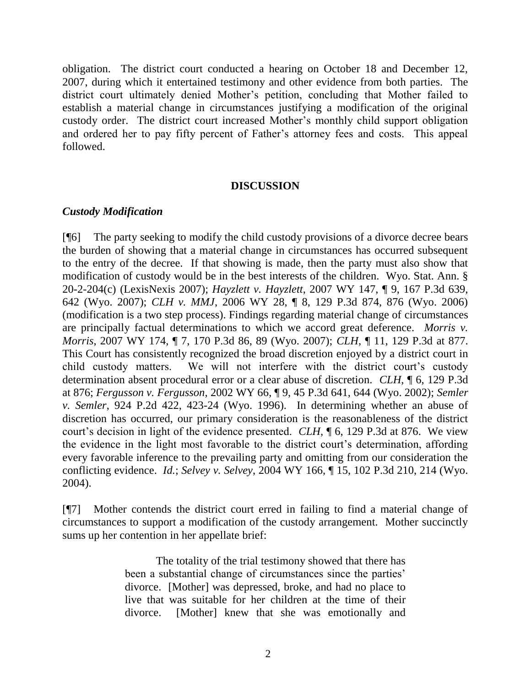obligation. The district court conducted a hearing on October 18 and December 12, 2007, during which it entertained testimony and other evidence from both parties. The district court ultimately denied Mother's petition, concluding that Mother failed to establish a material change in circumstances justifying a modification of the original custody order. The district court increased Mother's monthly child support obligation and ordered her to pay fifty percent of Father's attorney fees and costs. This appeal followed.

#### **DISCUSSION**

### *Custody Modification*

[¶6] The party seeking to modify the child custody provisions of a divorce decree bears the burden of showing that a material change in circumstances has occurred subsequent to the entry of the decree. If that showing is made, then the party must also show that modification of custody would be in the best interests of the children. Wyo. Stat. Ann. § 20-2-204(c) (LexisNexis 2007); *Hayzlett v. Hayzlett*, 2007 WY 147, ¶ 9, 167 P.3d 639, 642 (Wyo. 2007); *CLH v. MMJ*, 2006 WY 28, ¶ 8, 129 P.3d 874, 876 (Wyo. 2006) (modification is a two step process). Findings regarding material change of circumstances are principally factual determinations to which we accord great deference. *Morris v. Morris*, 2007 WY 174, ¶ 7, 170 P.3d 86, 89 (Wyo. 2007); *CLH*, ¶ 11, 129 P.3d at 877. This Court has consistently recognized the broad discretion enjoyed by a district court in child custody matters. We will not interfere with the district court's custody determination absent procedural error or a clear abuse of discretion. *CLH*, ¶ 6, 129 P.3d at 876; *Fergusson v. Fergusson*, 2002 WY 66, ¶ 9, 45 P.3d 641, 644 (Wyo. 2002); *Semler v. Semler*, 924 P.2d 422, 423-24 (Wyo. 1996). In determining whether an abuse of discretion has occurred, our primary consideration is the reasonableness of the district court's decision in light of the evidence presented. *CLH*, ¶ 6, 129 P.3d at 876. We view the evidence in the light most favorable to the district court's determination, affording every favorable inference to the prevailing party and omitting from our consideration the conflicting evidence. *Id.*; *Selvey v. Selvey*, 2004 WY 166, ¶ 15, 102 P.3d 210, 214 (Wyo. 2004).

[¶7] Mother contends the district court erred in failing to find a material change of circumstances to support a modification of the custody arrangement. Mother succinctly sums up her contention in her appellate brief:

> The totality of the trial testimony showed that there has been a substantial change of circumstances since the parties' divorce. [Mother] was depressed, broke, and had no place to live that was suitable for her children at the time of their divorce. [Mother] knew that she was emotionally and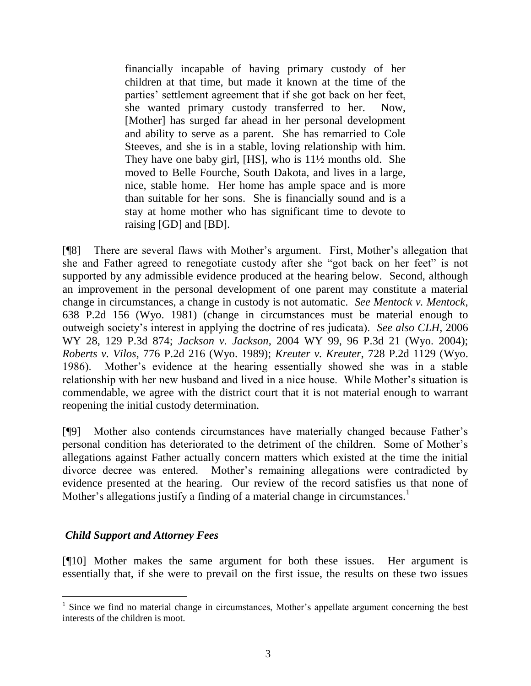financially incapable of having primary custody of her children at that time, but made it known at the time of the parties' settlement agreement that if she got back on her feet, she wanted primary custody transferred to her. Now, [Mother] has surged far ahead in her personal development and ability to serve as a parent. She has remarried to Cole Steeves, and she is in a stable, loving relationship with him. They have one baby girl, [HS], who is 11½ months old. She moved to Belle Fourche, South Dakota, and lives in a large, nice, stable home. Her home has ample space and is more than suitable for her sons. She is financially sound and is a stay at home mother who has significant time to devote to raising [GD] and [BD].

[¶8] There are several flaws with Mother's argument. First, Mother's allegation that she and Father agreed to renegotiate custody after she "got back on her feet" is not supported by any admissible evidence produced at the hearing below. Second, although an improvement in the personal development of one parent may constitute a material change in circumstances, a change in custody is not automatic. *See Mentock v. Mentock*, 638 P.2d 156 (Wyo. 1981) (change in circumstances must be material enough to outweigh society's interest in applying the doctrine of res judicata). *See also CLH*, 2006 WY 28, 129 P.3d 874; *Jackson v. Jackson*, 2004 WY 99, 96 P.3d 21 (Wyo. 2004); *Roberts v. Vilos*, 776 P.2d 216 (Wyo. 1989); *Kreuter v. Kreuter*, 728 P.2d 1129 (Wyo. 1986). Mother's evidence at the hearing essentially showed she was in a stable relationship with her new husband and lived in a nice house. While Mother's situation is commendable, we agree with the district court that it is not material enough to warrant reopening the initial custody determination.

[¶9] Mother also contends circumstances have materially changed because Father's personal condition has deteriorated to the detriment of the children. Some of Mother's allegations against Father actually concern matters which existed at the time the initial divorce decree was entered. Mother's remaining allegations were contradicted by evidence presented at the hearing. Our review of the record satisfies us that none of Mother's allegations justify a finding of a material change in circumstances.<sup>1</sup>

### *Child Support and Attorney Fees*

l

[¶10] Mother makes the same argument for both these issues. Her argument is essentially that, if she were to prevail on the first issue, the results on these two issues

<sup>&</sup>lt;sup>1</sup> Since we find no material change in circumstances, Mother's appellate argument concerning the best interests of the children is moot.